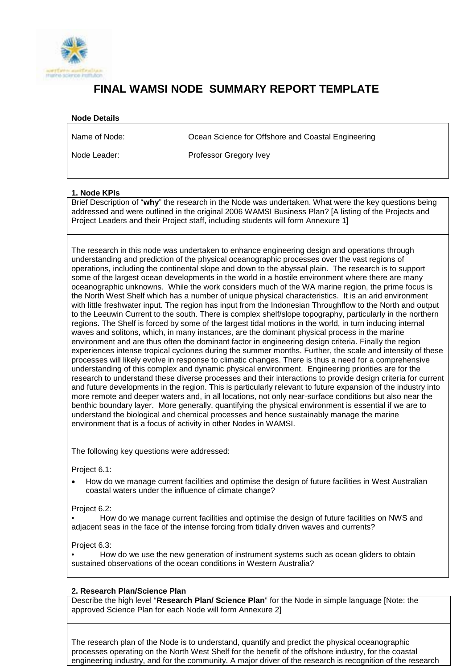

# **FINAL WAMSI NODE SUMMARY REPORT TEMPLATE**

# **Node Details**

Name of Node:

Ocean Science for Offshore and Coastal Engineering

Node Leader:

Professor Gregory Ivey

# **1. Node KPIs**

Brief Description of "**why**" the research in the Node was undertaken. What were the key questions being addressed and were outlined in the original 2006 WAMSI Business Plan? [A listing of the Projects and Project Leaders and their Project staff, including students will form Annexure 1]

The research in this node was undertaken to enhance engineering design and operations through understanding and prediction of the physical oceanographic processes over the vast regions of operations, including the continental slope and down to the abyssal plain. The research is to support some of the largest ocean developments in the world in a hostile environment where there are many oceanographic unknowns. While the work considers much of the WA marine region, the prime focus is the North West Shelf which has a number of unique physical characteristics. It is an arid environment with little freshwater input. The region has input from the Indonesian Throughflow to the North and output to the Leeuwin Current to the south. There is complex shelf/slope topography, particularly in the northern regions. The Shelf is forced by some of the largest tidal motions in the world, in turn inducing internal waves and solitons, which, in many instances, are the dominant physical process in the marine environment and are thus often the dominant factor in engineering design criteria. Finally the region experiences intense tropical cyclones during the summer months. Further, the scale and intensity of these processes will likely evolve in response to climatic changes. There is thus a need for a comprehensive understanding of this complex and dynamic physical environment. Engineering priorities are for the research to understand these diverse processes and their interactions to provide design criteria for current and future developments in the region. This is particularly relevant to future expansion of the industry into more remote and deeper waters and, in all locations, not only near-surface conditions but also near the benthic boundary layer. More generally, quantifying the physical environment is essential if we are to understand the biological and chemical processes and hence sustainably manage the marine environment that is a focus of activity in other Nodes in WAMSI.

The following key questions were addressed:

Project 6.1:

• How do we manage current facilities and optimise the design of future facilities in West Australian coastal waters under the influence of climate change?

Project 6.2:

• How do we manage current facilities and optimise the design of future facilities on NWS and adjacent seas in the face of the intense forcing from tidally driven waves and currents?

Project 6.3:

• How do we use the new generation of instrument systems such as ocean gliders to obtain sustained observations of the ocean conditions in Western Australia?

# **2. Research Plan/Science Plan**

Describe the high level "**Research Plan/ Science Plan**" for the Node in simple language [Note: the approved Science Plan for each Node will form Annexure 2]

The research plan of the Node is to understand, quantify and predict the physical oceanographic processes operating on the North West Shelf for the benefit of the offshore industry, for the coastal engineering industry, and for the community. A major driver of the research is recognition of the research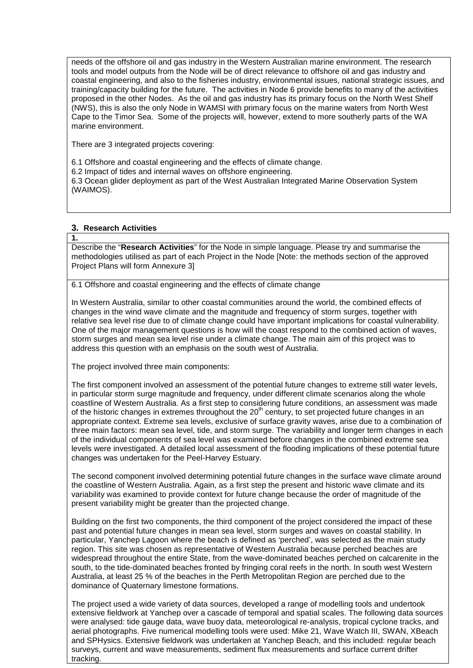needs of the offshore oil and gas industry in the Western Australian marine environment. The research tools and model outputs from the Node will be of direct relevance to offshore oil and gas industry and coastal engineering, and also to the fisheries industry, environmental issues, national strategic issues, and training/capacity building for the future. The activities in Node 6 provide benefits to many of the activities proposed in the other Nodes. As the oil and gas industry has its primary focus on the North West Shelf (NWS), this is also the only Node in WAMSI with primary focus on the marine waters from North West Cape to the Timor Sea. Some of the projects will, however, extend to more southerly parts of the WA marine environment.

There are 3 integrated projects covering:

6.1 Offshore and coastal engineering and the effects of climate change.

6.2 Impact of tides and internal waves on offshore engineering.

6.3 Ocean glider deployment as part of the West Australian Integrated Marine Observation System (WAIMOS).

# **3. Research Activities**

#### **1.**

Describe the "**Research Activities**" for the Node in simple language. Please try and summarise the methodologies utilised as part of each Project in the Node [Note: the methods section of the approved Project Plans will form Annexure 3]

6.1 Offshore and coastal engineering and the effects of climate change

In Western Australia, similar to other coastal communities around the world, the combined effects of changes in the wind wave climate and the magnitude and frequency of storm surges, together with relative sea level rise due to of climate change could have important implications for coastal vulnerability. One of the major management questions is how will the coast respond to the combined action of waves, storm surges and mean sea level rise under a climate change. The main aim of this project was to address this question with an emphasis on the south west of Australia.

The project involved three main components:

The first component involved an assessment of the potential future changes to extreme still water levels, in particular storm surge magnitude and frequency, under different climate scenarios along the whole coastline of Western Australia. As a first step to considering future conditions, an assessment was made of the historic changes in extremes throughout the  $20<sup>th</sup>$  century, to set projected future changes in an appropriate context. Extreme sea levels, exclusive of surface gravity waves, arise due to a combination of three main factors: mean sea level, tide, and storm surge. The variability and longer term changes in each of the individual components of sea level was examined before changes in the combined extreme sea levels were investigated. A detailed local assessment of the flooding implications of these potential future changes was undertaken for the Peel-Harvey Estuary.

The second component involved determining potential future changes in the surface wave climate around the coastline of Western Australia. Again, as a first step the present and historic wave climate and its variability was examined to provide context for future change because the order of magnitude of the present variability might be greater than the projected change.

Building on the first two components, the third component of the project considered the impact of these past and potential future changes in mean sea level, storm surges and waves on coastal stability. In particular, Yanchep Lagoon where the beach is defined as 'perched', was selected as the main study region. This site was chosen as representative of Western Australia because perched beaches are widespread throughout the entire State, from the wave-dominated beaches perched on calcarenite in the south, to the tide-dominated beaches fronted by fringing coral reefs in the north. In south west Western Australia, at least 25 % of the beaches in the Perth Metropolitan Region are perched due to the dominance of Quaternary limestone formations.

The project used a wide variety of data sources, developed a range of modelling tools and undertook extensive fieldwork at Yanchep over a cascade of temporal and spatial scales. The following data sources were analysed: tide gauge data, wave buoy data, meteorological re-analysis, tropical cyclone tracks, and aerial photographs. Five numerical modelling tools were used: Mike 21, Wave Watch III, SWAN, XBeach and SPHysics. Extensive fieldwork was undertaken at Yanchep Beach, and this included: regular beach surveys, current and wave measurements, sediment flux measurements and surface current drifter tracking.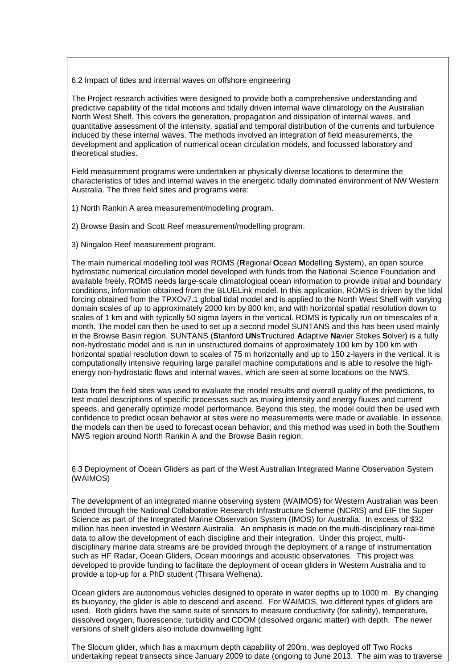6.2 Impact of tides and internal waves on offshore engineering

The Project research activities were designed to provide both a comprehensive understanding and predictive capability of the tidal motions and tidally driven internal wave climatology on the Australian North West Shelf. This covers the generation, propagation and dissipation of internal waves, and quantitative assessment of the intensity, spatial and temporal distribution of the currents and turbulence induced by these internal waves. The methods involved an integration of field measurements, the development and application of numerical ocean circulation models, and focussed laboratory and theoretical studies.

Field measurement programs were undertaken at physically diverse locations to determine the characteristics of tides and internal waves in the energetic tidally dominated environment of NW Western Australia. The three field sites and programs were:

1) North Rankin A area measurement/modelling program.

2) Browse Basin and Scott Reef measurement/modelling program.

3) Ningaloo Reef measurement program.

The main numerical modelling tool was ROMS (**R**egional **O**cean **M**odelling **S**ystem), an open source hydrostatic numerical circulation model developed with funds from the National Science Foundation and available freely. ROMS needs large-scale climatological ocean information to provide initial and boundary conditions, information obtained from the BLUELink model. In this application, ROMS is driven by the tidal forcing obtained from the TPXOv7.1 global tidal model and is applied to the North West Shelf with varying domain scales of up to approximately 2000 km by 800 km, and with horizontal spatial resolution down to scales of 1 km and with typically 50 sigma layers in the vertical. ROMS is typically run on timescales of a month. The model can then be used to set up a second model SUNTANS and this has been used mainly in the Browse Basin region. SUNTANS (**S**tanford **UN**s**T**ructured **A**daptive **Na**vier Stokes **S**olver) is a fully non-hydrostatic model and is run in unstructured domains of approximately 100 km by 100 km with horizontal spatial resolution down to scales of 75 m horizontally and up to 150 z-layers in the vertical. It is computationally intensive requiring large parallel machine computations and is able to resolve the highenergy non-hydrostatic flows and internal waves, which are seen at some locations on the NWS.

Data from the field sites was used to evaluate the model results and overall quality of the predictions, to test model descriptions of specific processes such as mixing intensity and energy fluxes and current speeds, and generally optimize model performance. Beyond this step, the model could then be used with confidence to predict ocean behavior at sites were no measurements were made or available. In essence, the models can then be used to forecast ocean behavior, and this method was used in both the Southern NWS region around North Rankin A and the Browse Basin region.

6.3 Deployment of Ocean Gliders as part of the West Australian Integrated Marine Observation System (WAIMOS)

The development of an integrated marine observing system (WAIMOS) for Western Australian was been funded through the National Collaborative Research Infrastructure Scheme (NCRIS) and EIF the Super Science as part of the Integrated Marine Observation System (IMOS) for Australia. In excess of \$32 million has been invested in Western Australia. An emphasis is made on the multi-disciplinary real-time data to allow the development of each discipline and their integration. Under this project, multidisciplinary marine data streams are be provided through the deployment of a range of instrumentation such as HF Radar, Ocean Gliders, Ocean moorings and acoustic observatories. This project was developed to provide funding to facilitate the deployment of ocean gliders in Western Australia and to provide a top-up for a PhD student (Thisara Welhena).

Ocean gliders are autonomous vehicles designed to operate in water depths up to 1000 m. By changing its buoyancy, the glider is able to descend and ascend. For WAIMOS, two different types of gliders are used. Both gliders have the same suite of sensors to measure conductivity (for salinity), temperature, dissolved oxygen, fluorescence, turbidity and CDOM (dissolved organic matter) with depth. The newer versions of shelf gliders also include downwelling light.

The Slocum glider, which has a maximum depth capability of 200m, was deployed off Two Rocks undertaking repeat transects since January 2009 to date (ongoing to June 2013. The aim was to traverse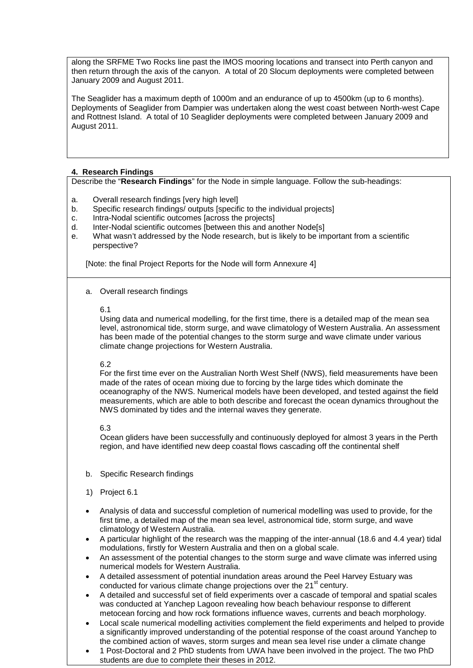along the SRFME Two Rocks line past the IMOS mooring locations and transect into Perth canyon and then return through the axis of the canyon. A total of 20 Slocum deployments were completed between January 2009 and August 2011.

The Seaglider has a maximum depth of 1000m and an endurance of up to 4500km (up to 6 months). Deployments of Seaglider from Dampier was undertaken along the west coast between North-west Cape and Rottnest Island. A total of 10 Seaglider deployments were completed between January 2009 and August 2011.

# **4. Research Findings**

Describe the "**Research Findings**" for the Node in simple language. Follow the sub-headings:

- a. Overall research findings [very high level]
- b. Specific research findings/ outputs [specific to the individual projects]
- c. Intra-Nodal scientific outcomes [across the projects]
- d. Inter-Nodal scientific outcomes [between this and another Node[s]
- e. What wasn't addressed by the Node research, but is likely to be important from a scientific perspective?

[Note: the final Project Reports for the Node will form Annexure 4]

a. Overall research findings

#### 6.1

Using data and numerical modelling, for the first time, there is a detailed map of the mean sea level, astronomical tide, storm surge, and wave climatology of Western Australia. An assessment has been made of the potential changes to the storm surge and wave climate under various climate change projections for Western Australia.

# 6.2

For the first time ever on the Australian North West Shelf (NWS), field measurements have been made of the rates of ocean mixing due to forcing by the large tides which dominate the oceanography of the NWS. Numerical models have been developed, and tested against the field measurements, which are able to both describe and forecast the ocean dynamics throughout the NWS dominated by tides and the internal waves they generate.

#### 6.3

Ocean gliders have been successfully and continuously deployed for almost 3 years in the Perth region, and have identified new deep coastal flows cascading off the continental shelf

- b. Specific Research findings
- 1) Project 6.1
- Analysis of data and successful completion of numerical modelling was used to provide, for the first time, a detailed map of the mean sea level, astronomical tide, storm surge, and wave climatology of Western Australia.
- A particular highlight of the research was the mapping of the inter-annual (18.6 and 4.4 year) tidal modulations, firstly for Western Australia and then on a global scale.
- An assessment of the potential changes to the storm surge and wave climate was inferred using numerical models for Western Australia.
- A detailed assessment of potential inundation areas around the Peel Harvey Estuary was conducted for various climate change projections over the  $21<sup>st</sup>$  century.
- A detailed and successful set of field experiments over a cascade of temporal and spatial scales was conducted at Yanchep Lagoon revealing how beach behaviour response to different metocean forcing and how rock formations influence waves, currents and beach morphology.
- Local scale numerical modelling activities complement the field experiments and helped to provide a significantly improved understanding of the potential response of the coast around Yanchep to the combined action of waves, storm surges and mean sea level rise under a climate change
- 1 Post-Doctoral and 2 PhD students from UWA have been involved in the project. The two PhD students are due to complete their theses in 2012.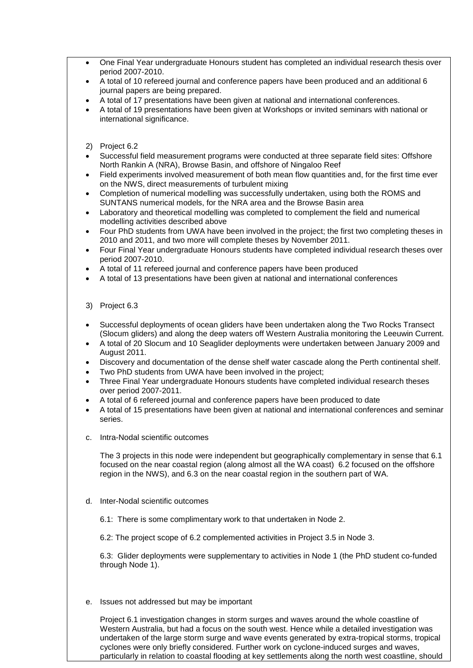- One Final Year undergraduate Honours student has completed an individual research thesis over period 2007-2010.
- A total of 10 refereed journal and conference papers have been produced and an additional 6 journal papers are being prepared.
- A total of 17 presentations have been given at national and international conferences.
- A total of 19 presentations have been given at Workshops or invited seminars with national or international significance.
- 2) Project 6.2
- Successful field measurement programs were conducted at three separate field sites: Offshore North Rankin A (NRA), Browse Basin, and offshore of Ningaloo Reef
- Field experiments involved measurement of both mean flow quantities and, for the first time ever on the NWS, direct measurements of turbulent mixing
- Completion of numerical modelling was successfully undertaken, using both the ROMS and SUNTANS numerical models, for the NRA area and the Browse Basin area
- Laboratory and theoretical modelling was completed to complement the field and numerical modelling activities described above
- Four PhD students from UWA have been involved in the project; the first two completing theses in 2010 and 2011, and two more will complete theses by November 2011.
- Four Final Year undergraduate Honours students have completed individual research theses over period 2007-2010.
- A total of 11 refereed journal and conference papers have been produced
- A total of 13 presentations have been given at national and international conferences
- 3) Project 6.3
- Successful deployments of ocean gliders have been undertaken along the Two Rocks Transect (Slocum gliders) and along the deep waters off Western Australia monitoring the Leeuwin Current.
- A total of 20 Slocum and 10 Seaglider deployments were undertaken between January 2009 and August 2011.
- Discovery and documentation of the dense shelf water cascade along the Perth continental shelf.
- Two PhD students from UWA have been involved in the project;
- Three Final Year undergraduate Honours students have completed individual research theses over period 2007-2011.
- A total of 6 refereed journal and conference papers have been produced to date
- A total of 15 presentations have been given at national and international conferences and seminar series.
- c. Intra-Nodal scientific outcomes

The 3 projects in this node were independent but geographically complementary in sense that 6.1 focused on the near coastal region (along almost all the WA coast) 6.2 focused on the offshore region in the NWS), and 6.3 on the near coastal region in the southern part of WA.

- d. Inter-Nodal scientific outcomes
	- 6.1: There is some complimentary work to that undertaken in Node 2.

6.2: The project scope of 6.2 complemented activities in Project 3.5 in Node 3.

6.3: Glider deployments were supplementary to activities in Node 1 (the PhD student co-funded through Node 1).

e. Issues not addressed but may be important

Project 6.1 investigation changes in storm surges and waves around the whole coastline of Western Australia, but had a focus on the south west. Hence while a detailed investigation was undertaken of the large storm surge and wave events generated by extra-tropical storms, tropical cyclones were only briefly considered. Further work on cyclone-induced surges and waves, particularly in relation to coastal flooding at key settlements along the north west coastline, should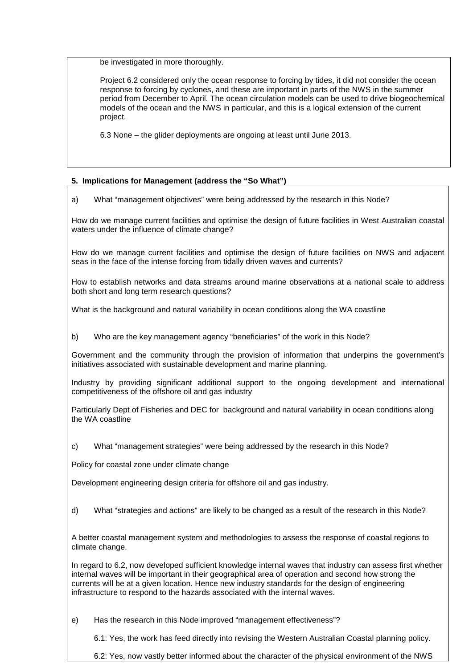be investigated in more thoroughly.

Project 6.2 considered only the ocean response to forcing by tides, it did not consider the ocean response to forcing by cyclones, and these are important in parts of the NWS in the summer period from December to April. The ocean circulation models can be used to drive biogeochemical models of the ocean and the NWS in particular, and this is a logical extension of the current project.

6.3 None – the glider deployments are ongoing at least until June 2013.

# **5. Implications for Management (address the "So What")**

a) What "management objectives" were being addressed by the research in this Node?

How do we manage current facilities and optimise the design of future facilities in West Australian coastal waters under the influence of climate change?

How do we manage current facilities and optimise the design of future facilities on NWS and adjacent seas in the face of the intense forcing from tidally driven waves and currents?

How to establish networks and data streams around marine observations at a national scale to address both short and long term research questions?

What is the background and natural variability in ocean conditions along the WA coastline

b) Who are the key management agency "beneficiaries" of the work in this Node?

Government and the community through the provision of information that underpins the government's initiatives associated with sustainable development and marine planning.

Industry by providing significant additional support to the ongoing development and international competitiveness of the offshore oil and gas industry

Particularly Dept of Fisheries and DEC for background and natural variability in ocean conditions along the WA coastline

c) What "management strategies" were being addressed by the research in this Node?

Policy for coastal zone under climate change

Development engineering design criteria for offshore oil and gas industry.

d) What "strategies and actions" are likely to be changed as a result of the research in this Node?

A better coastal management system and methodologies to assess the response of coastal regions to climate change.

In regard to 6.2, now developed sufficient knowledge internal waves that industry can assess first whether internal waves will be important in their geographical area of operation and second how strong the currents will be at a given location. Hence new industry standards for the design of engineering infrastructure to respond to the hazards associated with the internal waves.

e) Has the research in this Node improved "management effectiveness"?

6.1: Yes, the work has feed directly into revising the Western Australian Coastal planning policy.

6.2: Yes, now vastly better informed about the character of the physical environment of the NWS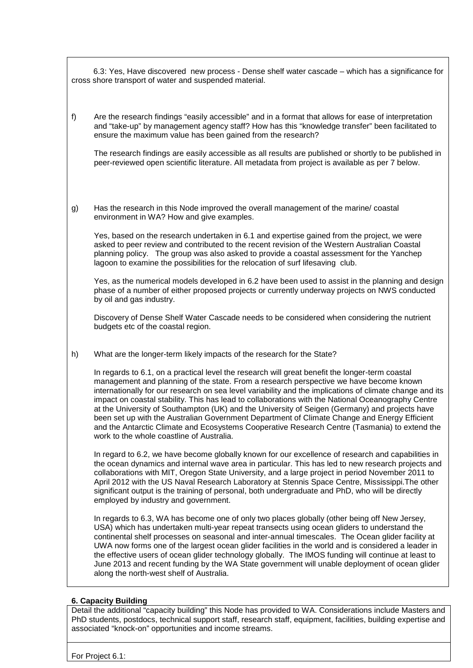6.3: Yes, Have discovered new process - Dense shelf water cascade – which has a significance for cross shore transport of water and suspended material.

f) Are the research findings "easily accessible" and in a format that allows for ease of interpretation and "take-up" by management agency staff? How has this "knowledge transfer" been facilitated to ensure the maximum value has been gained from the research?

The research findings are easily accessible as all results are published or shortly to be published in peer-reviewed open scientific literature. All metadata from project is available as per 7 below.

g) Has the research in this Node improved the overall management of the marine/ coastal environment in WA? How and give examples.

Yes, based on the research undertaken in 6.1 and expertise gained from the project, we were asked to peer review and contributed to the recent revision of the Western Australian Coastal planning policy. The group was also asked to provide a coastal assessment for the Yanchep lagoon to examine the possibilities for the relocation of surf lifesaving club.

Yes, as the numerical models developed in 6.2 have been used to assist in the planning and design phase of a number of either proposed projects or currently underway projects on NWS conducted by oil and gas industry.

Discovery of Dense Shelf Water Cascade needs to be considered when considering the nutrient budgets etc of the coastal region.

h) What are the longer-term likely impacts of the research for the State?

In regards to 6.1, on a practical level the research will great benefit the longer-term coastal management and planning of the state. From a research perspective we have become known internationally for our research on sea level variability and the implications of climate change and its impact on coastal stability. This has lead to collaborations with the National Oceanography Centre at the University of Southampton (UK) and the University of Seigen (Germany) and projects have been set up with the Australian Government Department of Climate Change and Energy Efficient and the Antarctic Climate and Ecosystems Cooperative Research Centre (Tasmania) to extend the work to the whole coastline of Australia.

In regard to 6.2, we have become globally known for our excellence of research and capabilities in the ocean dynamics and internal wave area in particular. This has led to new research projects and collaborations with MIT, Oregon State University, and a large project in period November 2011 to April 2012 with the US Naval Research Laboratory at Stennis Space Centre, Mississippi.The other significant output is the training of personal, both undergraduate and PhD, who will be directly employed by industry and government.

In regards to 6.3, WA has become one of only two places globally (other being off New Jersey, USA) which has undertaken multi-year repeat transects using ocean gliders to understand the continental shelf processes on seasonal and inter-annual timescales. The Ocean glider facility at UWA now forms one of the largest ocean glider facilities in the world and is considered a leader in the effective users of ocean glider technology globally. The IMOS funding will continue at least to June 2013 and recent funding by the WA State government will unable deployment of ocean glider along the north-west shelf of Australia.

# **6. Capacity Building**

Detail the additional "capacity building" this Node has provided to WA. Considerations include Masters and PhD students, postdocs, technical support staff, research staff, equipment, facilities, building expertise and associated "knock-on" opportunities and income streams.

For Project 6.1: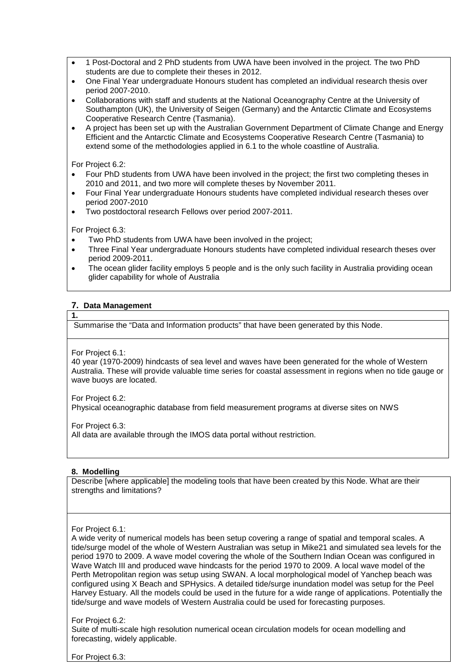- 1 Post-Doctoral and 2 PhD students from UWA have been involved in the project. The two PhD students are due to complete their theses in 2012.
- One Final Year undergraduate Honours student has completed an individual research thesis over period 2007-2010.
- Collaborations with staff and students at the National Oceanography Centre at the University of Southampton (UK), the University of Seigen (Germany) and the Antarctic Climate and Ecosystems Cooperative Research Centre (Tasmania).
- A project has been set up with the Australian Government Department of Climate Change and Energy Efficient and the Antarctic Climate and Ecosystems Cooperative Research Centre (Tasmania) to extend some of the methodologies applied in 6.1 to the whole coastline of Australia.

For Project 6.2:

- Four PhD students from UWA have been involved in the project; the first two completing theses in 2010 and 2011, and two more will complete theses by November 2011.
- Four Final Year undergraduate Honours students have completed individual research theses over period 2007-2010
- Two postdoctoral research Fellows over period 2007-2011.

For Project 6.3:

- Two PhD students from UWA have been involved in the project;
- Three Final Year undergraduate Honours students have completed individual research theses over period 2009-2011.
- The ocean glider facility employs 5 people and is the only such facility in Australia providing ocean glider capability for whole of Australia

# **7. Data Management**

Summarise the "Data and Information products" that have been generated by this Node.

For Project 6.1:

**1.** 

40 year (1970-2009) hindcasts of sea level and waves have been generated for the whole of Western Australia. These will provide valuable time series for coastal assessment in regions when no tide gauge or wave buoys are located.

For Project 6.2:

Physical oceanographic database from field measurement programs at diverse sites on NWS

For Project 6.3:

All data are available through the IMOS data portal without restriction.

# **8. Modelling**

Describe [where applicable] the modeling tools that have been created by this Node. What are their strengths and limitations?

#### For Project 6.1:

A wide verity of numerical models has been setup covering a range of spatial and temporal scales. A tide/surge model of the whole of Western Australian was setup in Mike21 and simulated sea levels for the period 1970 to 2009. A wave model covering the whole of the Southern Indian Ocean was configured in Wave Watch III and produced wave hindcasts for the period 1970 to 2009. A local wave model of the Perth Metropolitan region was setup using SWAN. A local morphological model of Yanchep beach was configured using X Beach and SPHysics. A detailed tide/surge inundation model was setup for the Peel Harvey Estuary. All the models could be used in the future for a wide range of applications. Potentially the tide/surge and wave models of Western Australia could be used for forecasting purposes.

# For Project 6.2:

Suite of multi-scale high resolution numerical ocean circulation models for ocean modelling and forecasting, widely applicable.

For Project 6.3: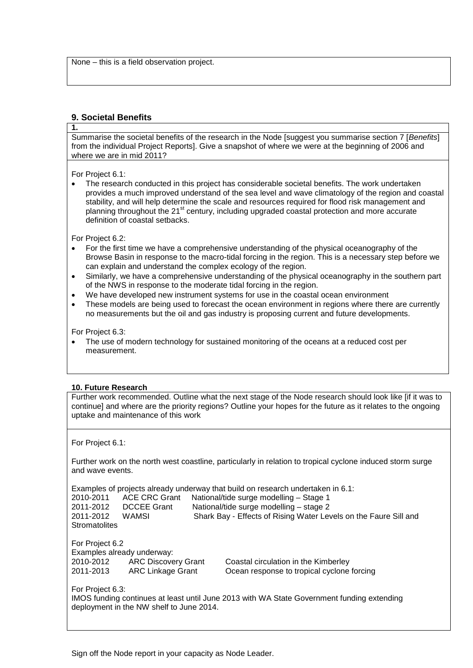None – this is a field observation project.

# **9. Societal Benefits**

# **1.**

Summarise the societal benefits of the research in the Node [suggest you summarise section 7 [*Benefits*] from the individual Project Reports]. Give a snapshot of where we were at the beginning of 2006 and where we are in mid 2011?

For Project 6.1:

• The research conducted in this project has considerable societal benefits. The work undertaken provides a much improved understand of the sea level and wave climatology of the region and coastal stability, and will help determine the scale and resources required for flood risk management and planning throughout the 21<sup>st</sup> century, including upgraded coastal protection and more accurate definition of coastal setbacks.

For Project 6.2:

- For the first time we have a comprehensive understanding of the physical oceanography of the Browse Basin in response to the macro-tidal forcing in the region. This is a necessary step before we can explain and understand the complex ecology of the region.
- Similarly, we have a comprehensive understanding of the physical oceanography in the southern part of the NWS in response to the moderate tidal forcing in the region.
- We have developed new instrument systems for use in the coastal ocean environment
- These models are being used to forecast the ocean environment in regions where there are currently no measurements but the oil and gas industry is proposing current and future developments.

For Project 6.3:

• The use of modern technology for sustained monitoring of the oceans at a reduced cost per measurement.

# **10. Future Research**

Further work recommended. Outline what the next stage of the Node research should look like [if it was to continue] and where are the priority regions? Outline your hopes for the future as it relates to the ongoing uptake and maintenance of this work

For Project 6.1:

Further work on the north west coastline, particularly in relation to tropical cyclone induced storm surge and wave events.

Examples of projects already underway that build on research undertaken in 6.1: 2010-2011 ACE CRC Grant National/tide surge modelling – Stage 1<br>2011-2012 DCCEE Grant National/tide surge modelling – stage 2 2011-2012 DCCEE Grant National/tide surge modelling – stage 2<br>2011-2012 WAMSI Shark Bay - Effects of Rising Water Lev Shark Bay - Effects of Rising Water Levels on the Faure Sill and **Stromatolites** 

For Project 6.2 Examples already underway: 2010-2012 ARC Discovery Grant Coastal circulation in the Kimberley<br>2011-2013 ARC Linkage Grant Ocean response to tropical cyclone

Ocean response to tropical cyclone forcing

For Project 6.3:

IMOS funding continues at least until June 2013 with WA State Government funding extending deployment in the NW shelf to June 2014.

Sign off the Node report in your capacity as Node Leader.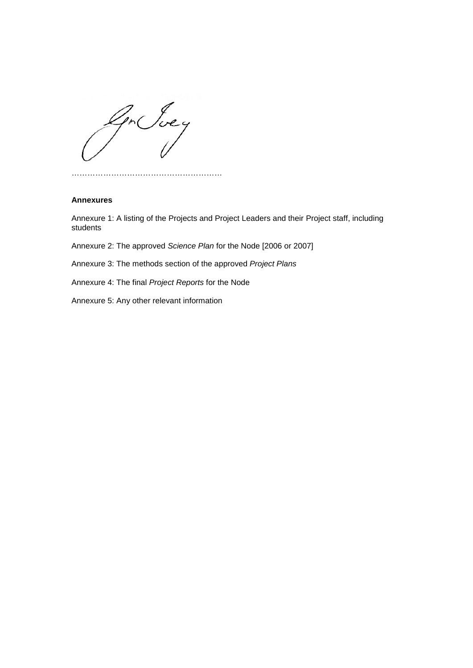Gr Juey

…………………………………………………

#### **Annexures**

Annexure 1: A listing of the Projects and Project Leaders and their Project staff, including students

Annexure 2: The approved *Science Plan* for the Node [2006 or 2007]

Annexure 3: The methods section of the approved *Project Plans*

Annexure 4: The final *Project Reports* for the Node

Annexure 5: Any other relevant information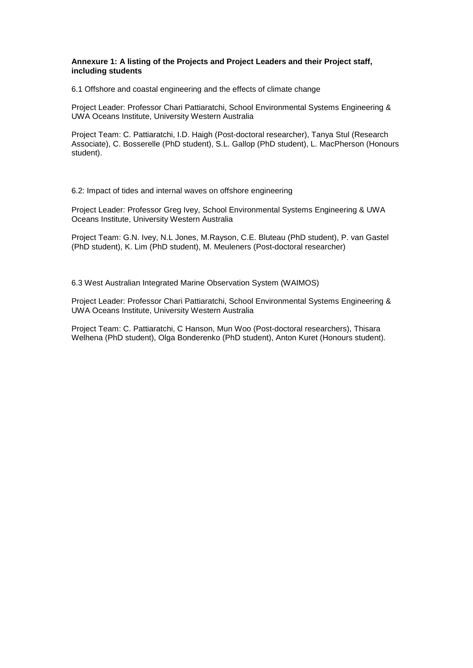#### **Annexure 1: A listing of the Projects and Project Leaders and their Project staff, including students**

6.1 Offshore and coastal engineering and the effects of climate change

Project Leader: Professor Chari Pattiaratchi, School Environmental Systems Engineering & UWA Oceans Institute, University Western Australia

Project Team: C. Pattiaratchi, I.D. Haigh (Post-doctoral researcher), Tanya Stul (Research Associate), C. Bosserelle (PhD student), S.L. Gallop (PhD student), L. MacPherson (Honours student).

6.2: Impact of tides and internal waves on offshore engineering

Project Leader: Professor Greg Ivey, School Environmental Systems Engineering & UWA Oceans Institute, University Western Australia

Project Team: G.N. Ivey, N.L Jones, M.Rayson, C.E. Bluteau (PhD student), P. van Gastel (PhD student), K. Lim (PhD student), M. Meuleners (Post-doctoral researcher)

6.3 West Australian Integrated Marine Observation System (WAIMOS)

Project Leader: Professor Chari Pattiaratchi, School Environmental Systems Engineering & UWA Oceans Institute, University Western Australia

Project Team: C. Pattiaratchi, C Hanson, Mun Woo (Post-doctoral researchers), Thisara Welhena (PhD student), Olga Bonderenko (PhD student), Anton Kuret (Honours student).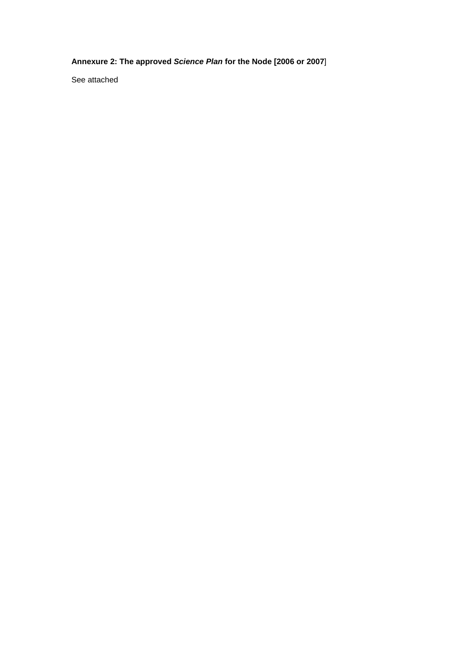**Annexure 2: The approved** *Science Plan* **for the Node [2006 or 2007**]

See attached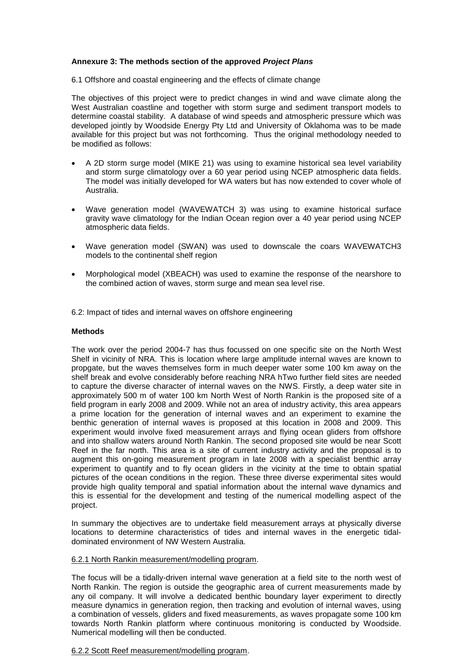#### **Annexure 3: The methods section of the approved** *Project Plans*

6.1 Offshore and coastal engineering and the effects of climate change

The objectives of this project were to predict changes in wind and wave climate along the West Australian coastline and together with storm surge and sediment transport models to determine coastal stability. A database of wind speeds and atmospheric pressure which was developed jointly by Woodside Energy Pty Ltd and University of Oklahoma was to be made available for this project but was not forthcoming. Thus the original methodology needed to be modified as follows:

- A 2D storm surge model (MIKE 21) was using to examine historical sea level variability and storm surge climatology over a 60 year period using NCEP atmospheric data fields. The model was initially developed for WA waters but has now extended to cover whole of Australia.
- Wave generation model (WAVEWATCH 3) was using to examine historical surface gravity wave climatology for the Indian Ocean region over a 40 year period using NCEP atmospheric data fields.
- Wave generation model (SWAN) was used to downscale the coars WAVEWATCH3 models to the continental shelf region
- Morphological model (XBEACH) was used to examine the response of the nearshore to the combined action of waves, storm surge and mean sea level rise.

6.2: Impact of tides and internal waves on offshore engineering

#### **Methods**

The work over the period 2004-7 has thus focussed on one specific site on the North West Shelf in vicinity of NRA. This is location where large amplitude internal waves are known to propgate, but the waves themselves form in much deeper water some 100 km away on the shelf break and evolve considerably before reaching NRA hTwo further field sites are needed to capture the diverse character of internal waves on the NWS. Firstly, a deep water site in approximately 500 m of water 100 km North West of North Rankin is the proposed site of a field program in early 2008 and 2009. While not an area of industry activity, this area appears a prime location for the generation of internal waves and an experiment to examine the benthic generation of internal waves is proposed at this location in 2008 and 2009. This experiment would involve fixed measurement arrays and flying ocean gliders from offshore and into shallow waters around North Rankin. The second proposed site would be near Scott Reef in the far north. This area is a site of current industry activity and the proposal is to augment this on-going measurement program in late 2008 with a specialist benthic array experiment to quantify and to fly ocean gliders in the vicinity at the time to obtain spatial pictures of the ocean conditions in the region. These three diverse experimental sites would provide high quality temporal and spatial information about the internal wave dynamics and this is essential for the development and testing of the numerical modelling aspect of the project.

In summary the objectives are to undertake field measurement arrays at physically diverse locations to determine characteristics of tides and internal waves in the energetic tidaldominated environment of NW Western Australia.

#### 6.2.1 North Rankin measurement/modelling program.

The focus will be a tidally-driven internal wave generation at a field site to the north west of North Rankin. The region is outside the geographic area of current measurements made by any oil company. It will involve a dedicated benthic boundary layer experiment to directly measure dynamics in generation region, then tracking and evolution of internal waves, using a combination of vessels, gliders and fixed measurements, as waves propagate some 100 km towards North Rankin platform where continuous monitoring is conducted by Woodside. Numerical modelling will then be conducted.

#### 6.2.2 Scott Reef measurement/modelling program.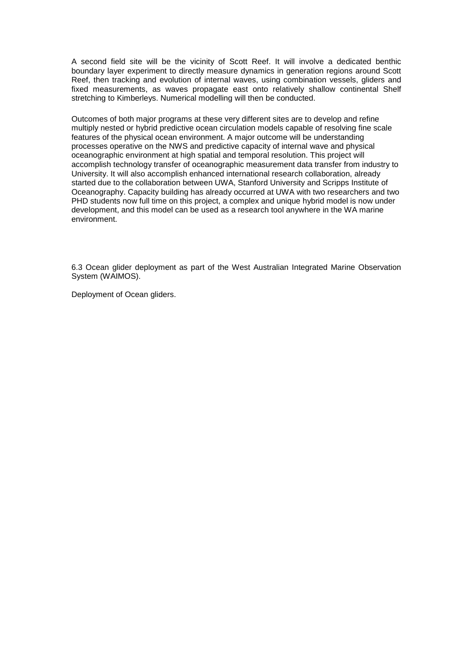A second field site will be the vicinity of Scott Reef. It will involve a dedicated benthic boundary layer experiment to directly measure dynamics in generation regions around Scott Reef, then tracking and evolution of internal waves, using combination vessels, gliders and fixed measurements, as waves propagate east onto relatively shallow continental Shelf stretching to Kimberleys. Numerical modelling will then be conducted.

Outcomes of both major programs at these very different sites are to develop and refine multiply nested or hybrid predictive ocean circulation models capable of resolving fine scale features of the physical ocean environment. A major outcome will be understanding processes operative on the NWS and predictive capacity of internal wave and physical oceanographic environment at high spatial and temporal resolution. This project will accomplish technology transfer of oceanographic measurement data transfer from industry to University. It will also accomplish enhanced international research collaboration, already started due to the collaboration between UWA, Stanford University and Scripps Institute of Oceanography. Capacity building has already occurred at UWA with two researchers and two PHD students now full time on this project, a complex and unique hybrid model is now under development, and this model can be used as a research tool anywhere in the WA marine environment.

6.3 Ocean glider deployment as part of the West Australian Integrated Marine Observation System (WAIMOS).

Deployment of Ocean gliders.